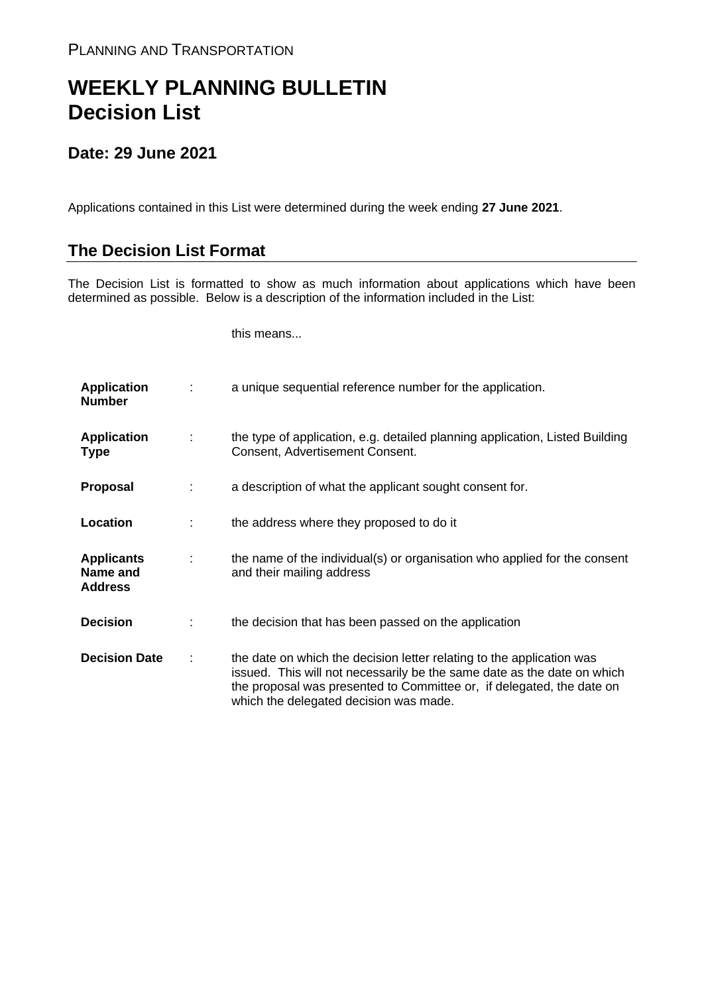## **WEEKLY PLANNING BULLETIN Decision List**

## **Date: 29 June 2021**

Applications contained in this List were determined during the week ending **27 June 2021**.

## **The Decision List Format**

The Decision List is formatted to show as much information about applications which have been determined as possible. Below is a description of the information included in the List:

this means...

| <b>Application</b><br><b>Number</b>             |   | a unique sequential reference number for the application.                                                                                                                                                                                                           |
|-------------------------------------------------|---|---------------------------------------------------------------------------------------------------------------------------------------------------------------------------------------------------------------------------------------------------------------------|
| <b>Application</b><br><b>Type</b>               | ÷ | the type of application, e.g. detailed planning application, Listed Building<br>Consent, Advertisement Consent.                                                                                                                                                     |
| <b>Proposal</b>                                 |   | a description of what the applicant sought consent for.                                                                                                                                                                                                             |
| Location                                        |   | the address where they proposed to do it                                                                                                                                                                                                                            |
| <b>Applicants</b><br>Name and<br><b>Address</b> |   | the name of the individual(s) or organisation who applied for the consent<br>and their mailing address                                                                                                                                                              |
| <b>Decision</b>                                 |   | the decision that has been passed on the application                                                                                                                                                                                                                |
| <b>Decision Date</b>                            |   | the date on which the decision letter relating to the application was<br>issued. This will not necessarily be the same date as the date on which<br>the proposal was presented to Committee or, if delegated, the date on<br>which the delegated decision was made. |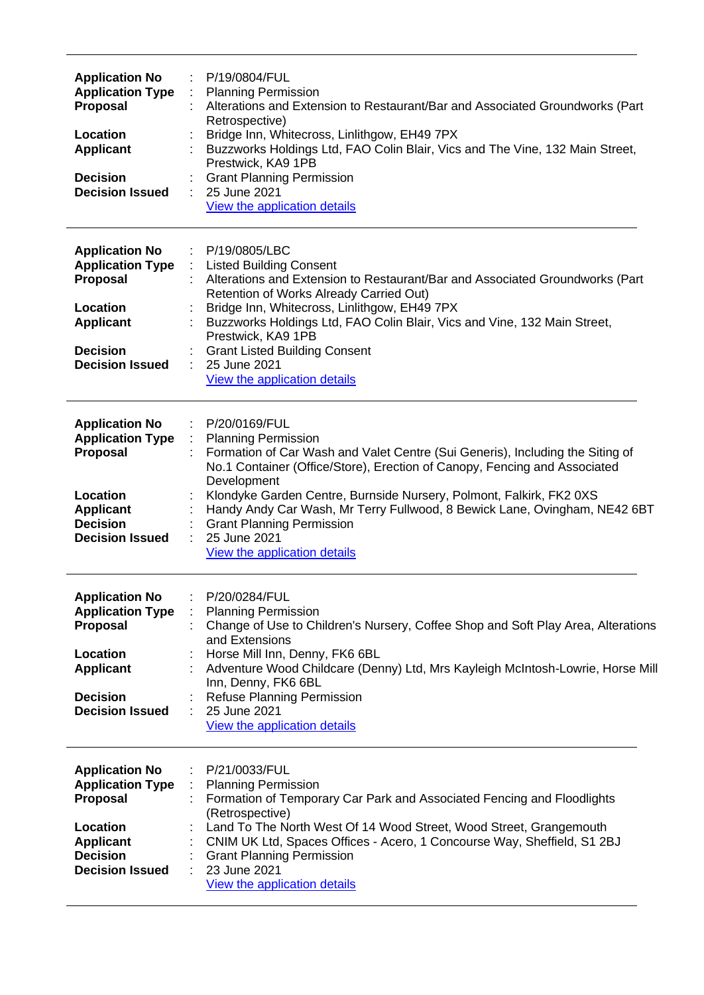| <b>Application No</b><br><b>Application Type</b><br>Proposal<br>Location<br><b>Applicant</b><br><b>Decision</b><br><b>Decision Issued</b>        | P/19/0804/FUL<br><b>Planning Permission</b><br>Alterations and Extension to Restaurant/Bar and Associated Groundworks (Part<br>Retrospective)<br>Bridge Inn, Whitecross, Linlithgow, EH49 7PX<br>Buzzworks Holdings Ltd, FAO Colin Blair, Vics and The Vine, 132 Main Street,<br>Prestwick, KA9 1PB<br><b>Grant Planning Permission</b><br>25 June 2021<br>View the application details                                                                          |
|--------------------------------------------------------------------------------------------------------------------------------------------------|------------------------------------------------------------------------------------------------------------------------------------------------------------------------------------------------------------------------------------------------------------------------------------------------------------------------------------------------------------------------------------------------------------------------------------------------------------------|
| <b>Application No</b><br><b>Application Type</b><br><b>Proposal</b><br>Location<br><b>Applicant</b><br><b>Decision</b><br><b>Decision Issued</b> | P/19/0805/LBC<br><b>Listed Building Consent</b><br>Alterations and Extension to Restaurant/Bar and Associated Groundworks (Part<br>Retention of Works Already Carried Out)<br>Bridge Inn, Whitecross, Linlithgow, EH49 7PX<br>Buzzworks Holdings Ltd, FAO Colin Blair, Vics and Vine, 132 Main Street,<br>Prestwick, KA9 1PB<br><b>Grant Listed Building Consent</b><br>25 June 2021<br>View the application details                                             |
| <b>Application No</b><br><b>Application Type</b><br><b>Proposal</b><br>Location<br><b>Applicant</b><br><b>Decision</b><br><b>Decision Issued</b> | P/20/0169/FUL<br><b>Planning Permission</b><br>Formation of Car Wash and Valet Centre (Sui Generis), Including the Siting of<br>No.1 Container (Office/Store), Erection of Canopy, Fencing and Associated<br>Development<br>Klondyke Garden Centre, Burnside Nursery, Polmont, Falkirk, FK2 0XS<br>Handy Andy Car Wash, Mr Terry Fullwood, 8 Bewick Lane, Ovingham, NE42 6BT<br><b>Grant Planning Permission</b><br>25 June 2021<br>View the application details |
| <b>Application No</b><br><b>Application Type</b><br><b>Proposal</b><br>Location<br><b>Applicant</b><br><b>Decision</b><br><b>Decision Issued</b> | P/20/0284/FUL<br><b>Planning Permission</b><br>Change of Use to Children's Nursery, Coffee Shop and Soft Play Area, Alterations<br>and Extensions<br>Horse Mill Inn, Denny, FK6 6BL<br>Adventure Wood Childcare (Denny) Ltd, Mrs Kayleigh McIntosh-Lowrie, Horse Mill<br>Inn, Denny, FK6 6BL<br>Refuse Planning Permission<br>25 June 2021<br>View the application details                                                                                       |
| <b>Application No</b><br><b>Application Type</b><br><b>Proposal</b><br>Location<br><b>Applicant</b><br><b>Decision</b><br><b>Decision Issued</b> | P/21/0033/FUL<br><b>Planning Permission</b><br>Formation of Temporary Car Park and Associated Fencing and Floodlights<br>(Retrospective)<br>Land To The North West Of 14 Wood Street, Wood Street, Grangemouth<br>CNIM UK Ltd, Spaces Offices - Acero, 1 Concourse Way, Sheffield, S1 2BJ<br><b>Grant Planning Permission</b><br>23 June 2021<br>View the application details                                                                                    |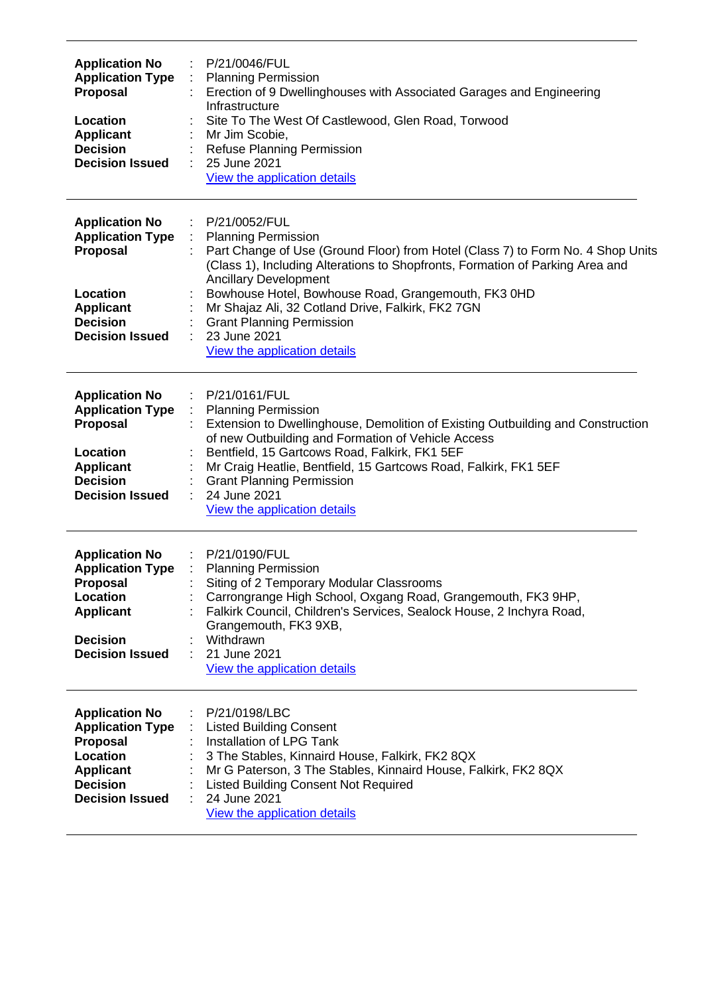| <b>Application No</b><br><b>Application Type</b><br><b>Proposal</b><br>Location<br><b>Applicant</b><br><b>Decision</b><br><b>Decision Issued</b> | P/21/0046/FUL<br><b>Planning Permission</b><br>Erection of 9 Dwellinghouses with Associated Garages and Engineering<br>Infrastructure<br>Site To The West Of Castlewood, Glen Road, Torwood<br>Mr Jim Scobie,<br>Refuse Planning Permission<br>25 June 2021<br>View the application details                                                                                                                                                     |
|--------------------------------------------------------------------------------------------------------------------------------------------------|-------------------------------------------------------------------------------------------------------------------------------------------------------------------------------------------------------------------------------------------------------------------------------------------------------------------------------------------------------------------------------------------------------------------------------------------------|
| <b>Application No</b><br><b>Application Type</b><br>Proposal<br>Location<br><b>Applicant</b><br><b>Decision</b><br><b>Decision Issued</b>        | P/21/0052/FUL<br><b>Planning Permission</b><br>Part Change of Use (Ground Floor) from Hotel (Class 7) to Form No. 4 Shop Units<br>(Class 1), Including Alterations to Shopfronts, Formation of Parking Area and<br><b>Ancillary Development</b><br>Bowhouse Hotel, Bowhouse Road, Grangemouth, FK3 0HD<br>Mr Shajaz Ali, 32 Cotland Drive, Falkirk, FK2 7GN<br><b>Grant Planning Permission</b><br>23 June 2021<br>View the application details |
| <b>Application No</b><br><b>Application Type</b><br>Proposal<br>Location<br><b>Applicant</b><br><b>Decision</b><br><b>Decision Issued</b>        | P/21/0161/FUL<br><b>Planning Permission</b><br>Extension to Dwellinghouse, Demolition of Existing Outbuilding and Construction<br>of new Outbuilding and Formation of Vehicle Access<br>Bentfield, 15 Gartcows Road, Falkirk, FK1 5EF<br>Mr Craig Heatlie, Bentfield, 15 Gartcows Road, Falkirk, FK1 5EF<br><b>Grant Planning Permission</b><br>24 June 2021<br>View the application details                                                    |
| <b>Application No</b><br><b>Application Type</b><br>Proposal<br>Location<br><b>Applicant</b><br><b>Decision</b><br><b>Decision Issued</b>        | P/21/0190/FUL<br><b>Planning Permission</b><br>Siting of 2 Temporary Modular Classrooms<br>Carrongrange High School, Oxgang Road, Grangemouth, FK3 9HP,<br>Falkirk Council, Children's Services, Sealock House, 2 Inchyra Road,<br>Grangemouth, FK3 9XB,<br>Withdrawn<br>21 June 2021<br>View the application details                                                                                                                           |
| <b>Application No</b><br><b>Application Type</b><br>Proposal<br>Location<br><b>Applicant</b><br><b>Decision</b><br><b>Decision Issued</b>        | P/21/0198/LBC<br><b>Listed Building Consent</b><br>Installation of LPG Tank<br>3 The Stables, Kinnaird House, Falkirk, FK2 8QX<br>Mr G Paterson, 3 The Stables, Kinnaird House, Falkirk, FK2 8QX<br><b>Listed Building Consent Not Required</b><br>24 June 2021<br>View the application details                                                                                                                                                 |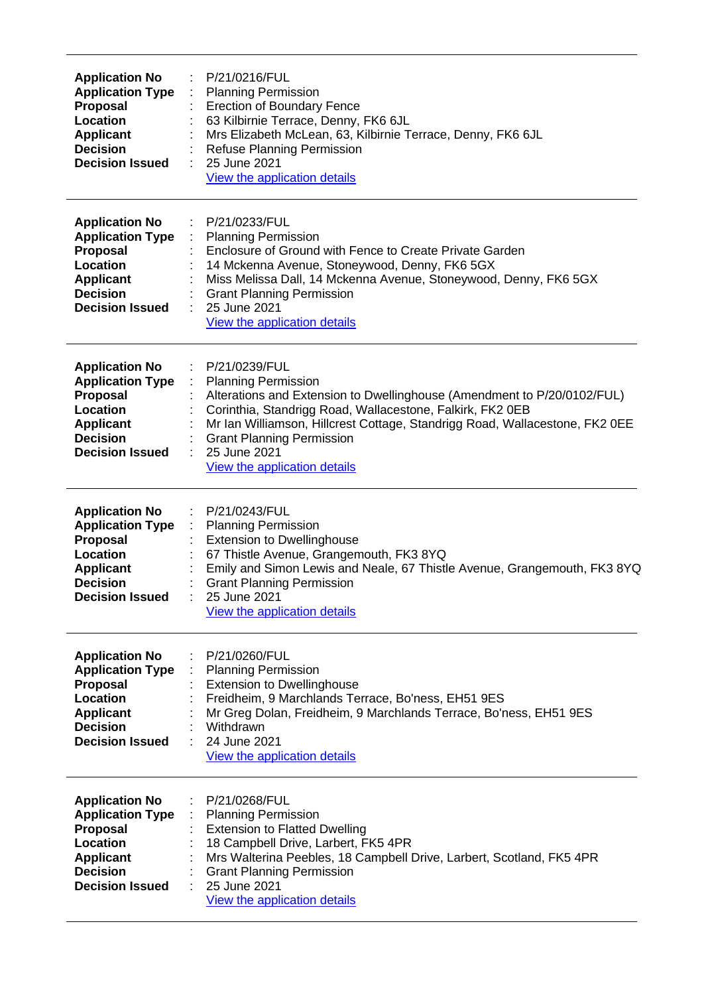| <b>Application No</b><br><b>Application Type</b><br><b>Proposal</b><br>Location<br><b>Applicant</b><br><b>Decision</b><br><b>Decision Issued</b> | P/21/0216/FUL<br><b>Planning Permission</b><br>÷<br><b>Erection of Boundary Fence</b><br>63 Kilbirnie Terrace, Denny, FK6 6JL<br>Mrs Elizabeth McLean, 63, Kilbirnie Terrace, Denny, FK6 6JL<br>Refuse Planning Permission<br>25 June 2021<br>÷<br>View the application details                                                                        |
|--------------------------------------------------------------------------------------------------------------------------------------------------|--------------------------------------------------------------------------------------------------------------------------------------------------------------------------------------------------------------------------------------------------------------------------------------------------------------------------------------------------------|
| <b>Application No</b><br><b>Application Type</b><br>Proposal<br>Location<br><b>Applicant</b><br><b>Decision</b><br><b>Decision Issued</b>        | P/21/0233/FUL<br><b>Planning Permission</b><br>Enclosure of Ground with Fence to Create Private Garden<br>14 Mckenna Avenue, Stoneywood, Denny, FK6 5GX<br>Miss Melissa Dall, 14 Mckenna Avenue, Stoneywood, Denny, FK6 5GX<br><b>Grant Planning Permission</b><br>25 June 2021<br>View the application details                                        |
| <b>Application No</b><br><b>Application Type</b><br><b>Proposal</b><br>Location<br><b>Applicant</b><br><b>Decision</b><br><b>Decision Issued</b> | P/21/0239/FUL<br><b>Planning Permission</b><br>Alterations and Extension to Dwellinghouse (Amendment to P/20/0102/FUL)<br>Corinthia, Standrigg Road, Wallacestone, Falkirk, FK2 0EB<br>Mr Ian Williamson, Hillcrest Cottage, Standrigg Road, Wallacestone, FK2 0EE<br><b>Grant Planning Permission</b><br>25 June 2021<br>View the application details |
| <b>Application No</b><br><b>Application Type</b><br>Proposal<br>Location<br><b>Applicant</b><br><b>Decision</b><br><b>Decision Issued</b>        | P/21/0243/FUL<br><b>Planning Permission</b><br><b>Extension to Dwellinghouse</b><br>67 Thistle Avenue, Grangemouth, FK3 8YQ<br>Emily and Simon Lewis and Neale, 67 Thistle Avenue, Grangemouth, FK3 8YQ<br><b>Grant Planning Permission</b><br>25 June 2021<br>View the application details                                                            |
| <b>Application No</b><br><b>Application Type</b><br><b>Proposal</b><br>Location<br><b>Applicant</b><br><b>Decision</b><br><b>Decision Issued</b> | P/21/0260/FUL<br><b>Planning Permission</b><br><b>Extension to Dwellinghouse</b><br>Freidheim, 9 Marchlands Terrace, Bo'ness, EH51 9ES<br>Mr Greg Dolan, Freidheim, 9 Marchlands Terrace, Bo'ness, EH51 9ES<br>Withdrawn<br>24 June 2021<br>View the application details                                                                               |
| <b>Application No</b><br><b>Application Type</b><br><b>Proposal</b><br>Location<br><b>Applicant</b><br><b>Decision</b><br><b>Decision Issued</b> | P/21/0268/FUL<br><b>Planning Permission</b><br><b>Extension to Flatted Dwelling</b><br>18 Campbell Drive, Larbert, FK5 4PR<br>Mrs Walterina Peebles, 18 Campbell Drive, Larbert, Scotland, FK5 4PR<br><b>Grant Planning Permission</b><br>25 June 2021<br>View the application details                                                                 |